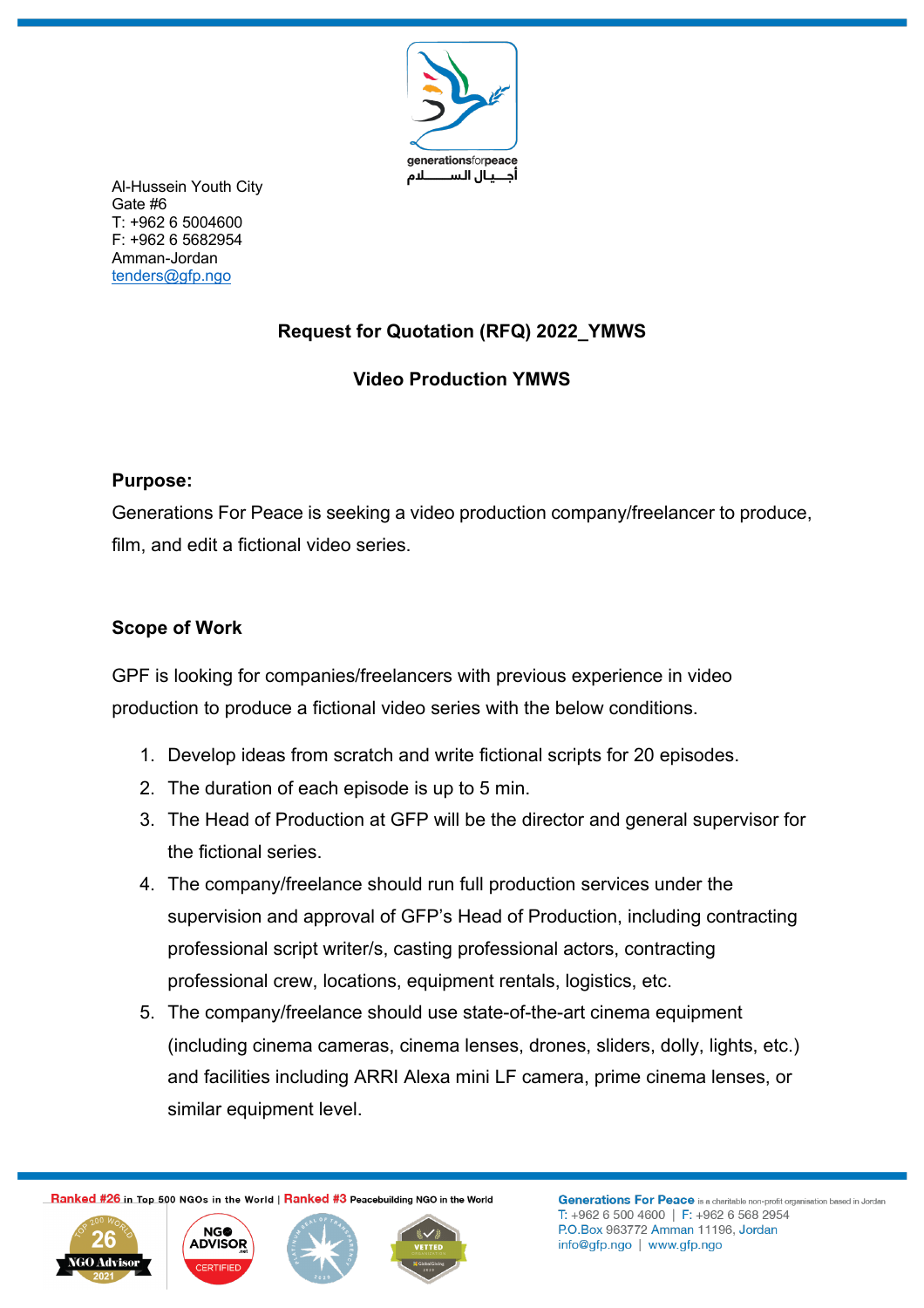

Al-Hussein Youth City Gate #6 T: +962 6 5004600 F: +962 6 5682954 Amman-Jordan tenders@gfp.ngo

# **Request for Quotation (RFQ) 2022\_YMWS**

# **Video Production YMWS**

# **Purpose:**

Generations For Peace is seeking a video production company/freelancer to produce, film, and edit a fictional video series.

# **Scope of Work**

GPF is looking for companies/freelancers with previous experience in video production to produce a fictional video series with the below conditions.

- 1. Develop ideas from scratch and write fictional scripts for 20 episodes.
- 2. The duration of each episode is up to 5 min.
- 3. The Head of Production at GFP will be the director and general supervisor for the fictional series.
- 4. The company/freelance should run full production services under the supervision and approval of GFP's Head of Production, including contracting professional script writer/s, casting professional actors, contracting professional crew, locations, equipment rentals, logistics, etc.
- 5. The company/freelance should use state-of-the-art cinema equipment (including cinema cameras, cinema lenses, drones, sliders, dolly, lights, etc.) and facilities including ARRI Alexa mini LF camera, prime cinema lenses, or similar equipment level.

Ranked #26 in Top 500 NGOs in the World | Ranked #3 Peacebuilding NGO in the World





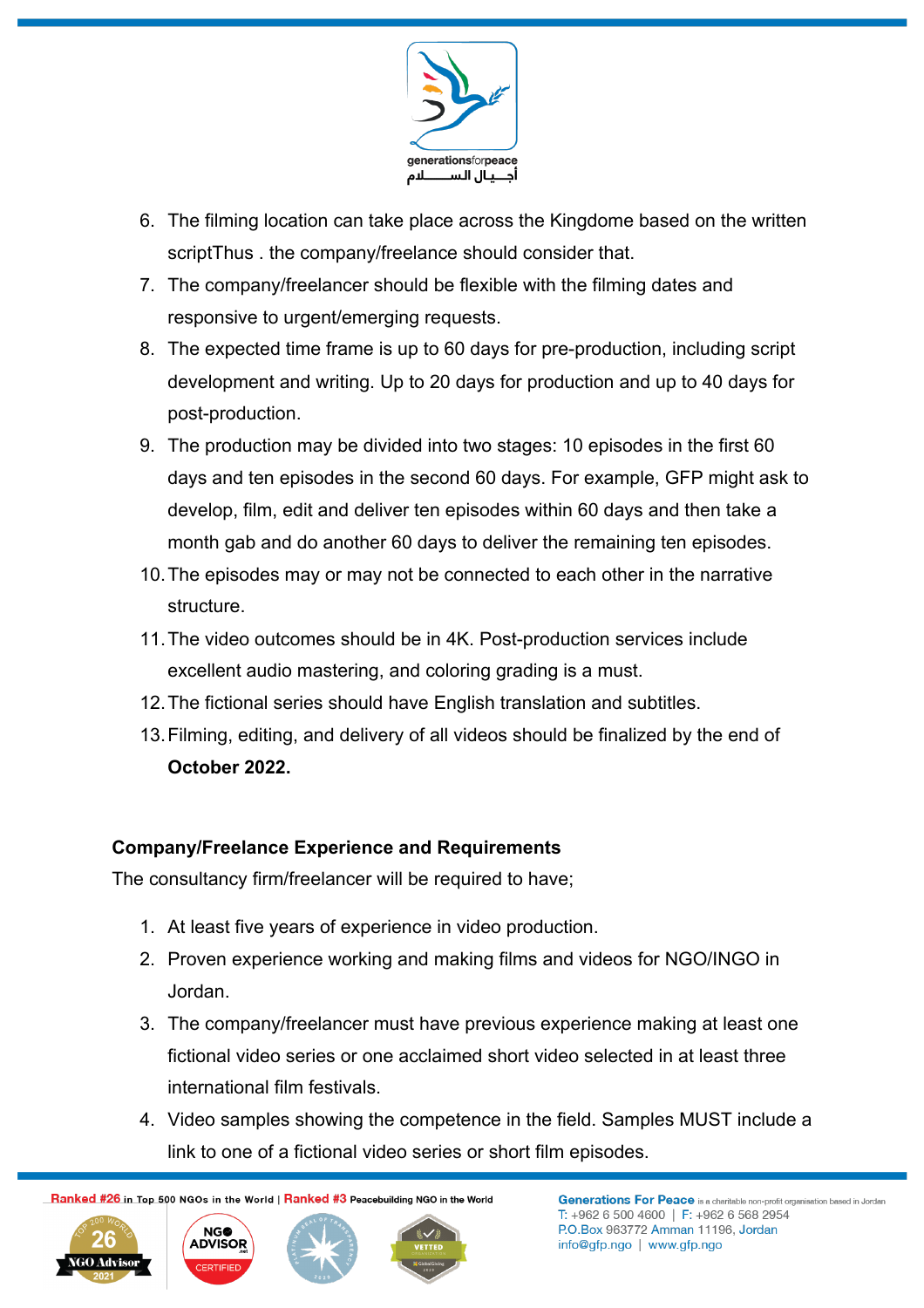

- 6. The filming location can take place across the Kingdome based on the written scriptThus . the company/freelance should consider that.
- 7. The company/freelancer should be flexible with the filming dates and responsive to urgent/emerging requests.
- 8. The expected time frame is up to 60 days for pre-production, including script development and writing. Up to 20 days for production and up to 40 days for post-production.
- 9. The production may be divided into two stages: 10 episodes in the first 60 days and ten episodes in the second 60 days. For example, GFP might ask to develop, film, edit and deliver ten episodes within 60 days and then take a month gab and do another 60 days to deliver the remaining ten episodes.
- 10.The episodes may or may not be connected to each other in the narrative structure.
- 11.The video outcomes should be in 4K. Post-production services include excellent audio mastering, and coloring grading is a must.
- 12.The fictional series should have English translation and subtitles.
- 13.Filming, editing, and delivery of all videos should be finalized by the end of **October 2022.**

## **Company/Freelance Experience and Requirements**

The consultancy firm/freelancer will be required to have;

- 1. At least five years of experience in video production.
- 2. Proven experience working and making films and videos for NGO/INGO in Jordan.
- 3. The company/freelancer must have previous experience making at least one fictional video series or one acclaimed short video selected in at least three international film festivals.
- 4. Video samples showing the competence in the field. Samples MUST include a link to one of a fictional video series or short film episodes.

Ranked #26 in Top 500 NGOs in the World | Ranked #3 Peacebuilding NGO in the World





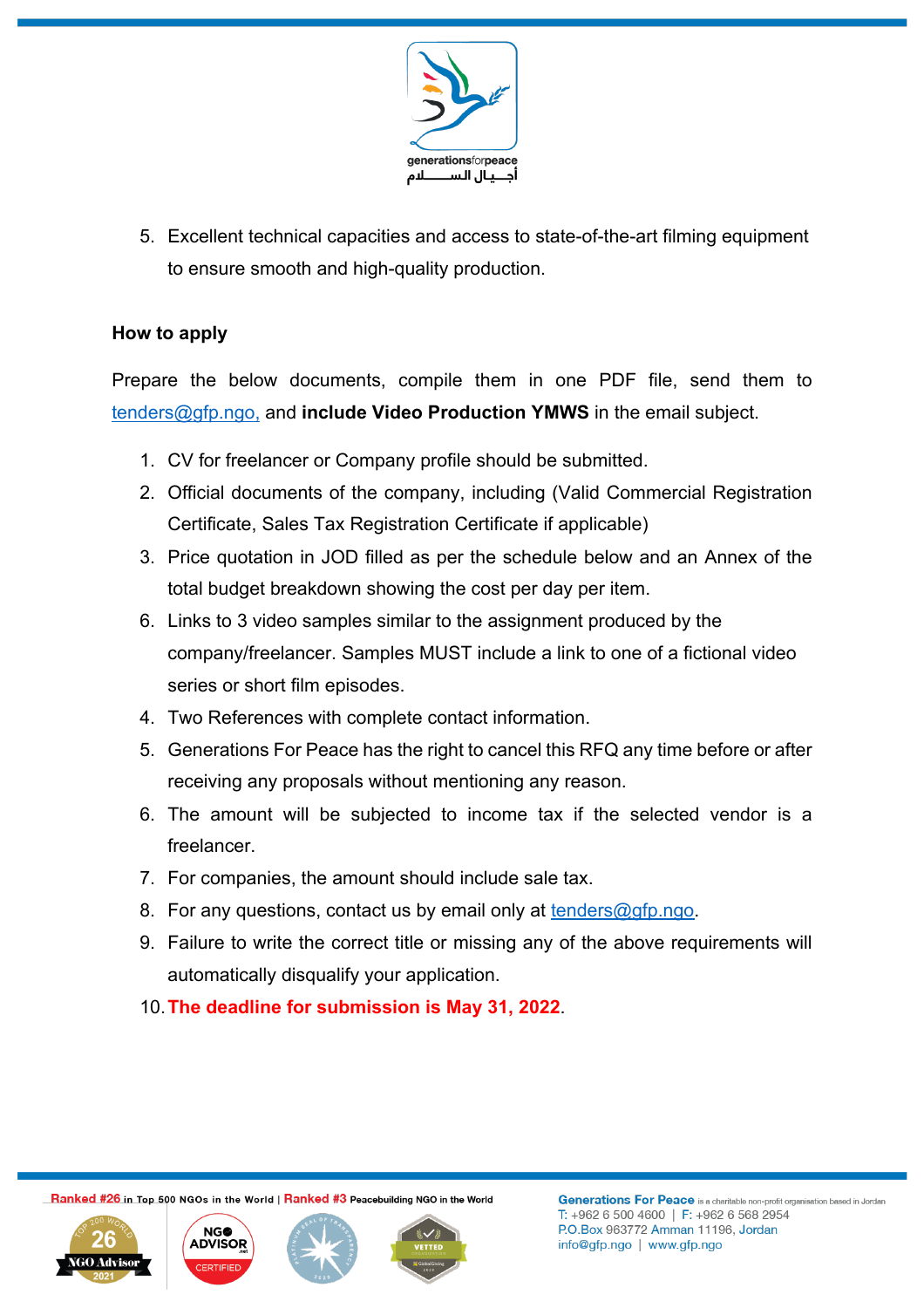

5. Excellent technical capacities and access to state-of-the-art filming equipment to ensure smooth and high-quality production.

### **How to apply**

Prepare the below documents, compile them in one PDF file, send them to tenders@gfp.ngo, and **include Video Production YMWS** in the email subject.

- 1. CV for freelancer or Company profile should be submitted.
- 2. Official documents of the company, including (Valid Commercial Registration Certificate, Sales Tax Registration Certificate if applicable)
- 3. Price quotation in JOD filled as per the schedule below and an Annex of the total budget breakdown showing the cost per day per item.
- 6. Links to 3 video samples similar to the assignment produced by the company/freelancer. Samples MUST include a link to one of a fictional video series or short film episodes.
- 4. Two References with complete contact information.
- 5. Generations For Peace has the right to cancel this RFQ any time before or after receiving any proposals without mentioning any reason.
- 6. The amount will be subjected to income tax if the selected vendor is a freelancer.
- 7. For companies, the amount should include sale tax.
- 8. For any questions, contact us by email only at tenders@gfp.ngo.
- 9. Failure to write the correct title or missing any of the above requirements will automatically disqualify your application.
- 10.**The deadline for submission is May 31, 2022**.

Ranked #26 in Top 500 NGOs in the World | Ranked #3 Peacebuilding NGO in the World





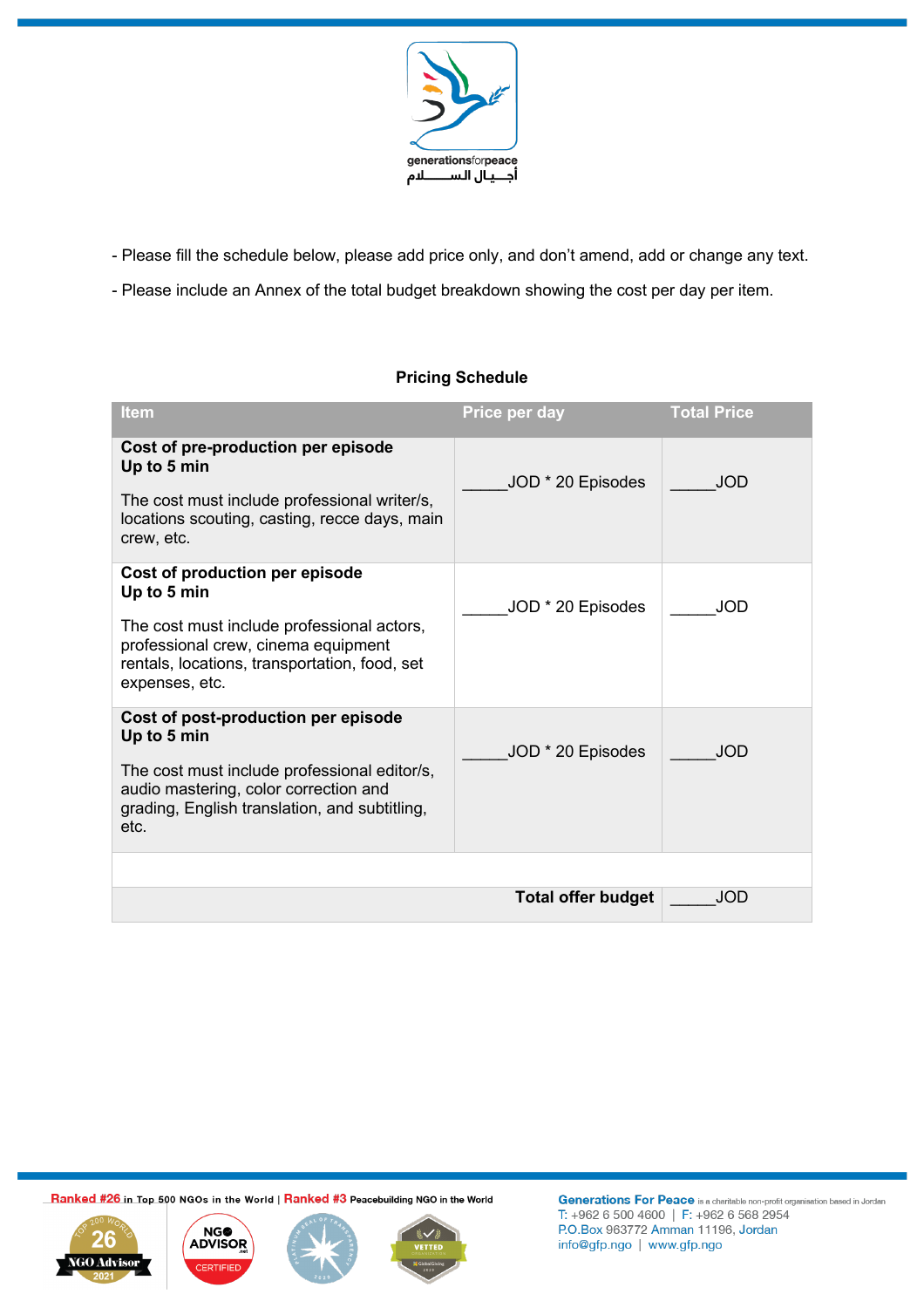

- Please fill the schedule below, please add price only, and don't amend, add or change any text.

- Please include an Annex of the total budget breakdown showing the cost per day per item.

### **Pricing Schedule**

| <b>Item</b>                                                                                                                                                                                           | Price per day             | <b>Total Price</b> |
|-------------------------------------------------------------------------------------------------------------------------------------------------------------------------------------------------------|---------------------------|--------------------|
| Cost of pre-production per episode<br>Up to 5 min<br>The cost must include professional writer/s,<br>locations scouting, casting, recce days, main<br>crew, etc.                                      | JOD * 20 Episodes         | <b>JOD</b>         |
| Cost of production per episode<br>Up to 5 min<br>The cost must include professional actors,<br>professional crew, cinema equipment<br>rentals, locations, transportation, food, set<br>expenses, etc. | JOD * 20 Episodes         | <b>JOD</b>         |
| Cost of post-production per episode<br>Up to 5 min<br>The cost must include professional editor/s,<br>audio mastering, color correction and<br>grading, English translation, and subtitling,<br>etc.  | JOD * 20 Episodes         | <b>JOD</b>         |
|                                                                                                                                                                                                       |                           |                    |
|                                                                                                                                                                                                       | <b>Total offer budget</b> | <b>JOD</b>         |

Ranked #26 in Top 500 NGOs in the World | Ranked #3 Peacebuilding NGO in the World





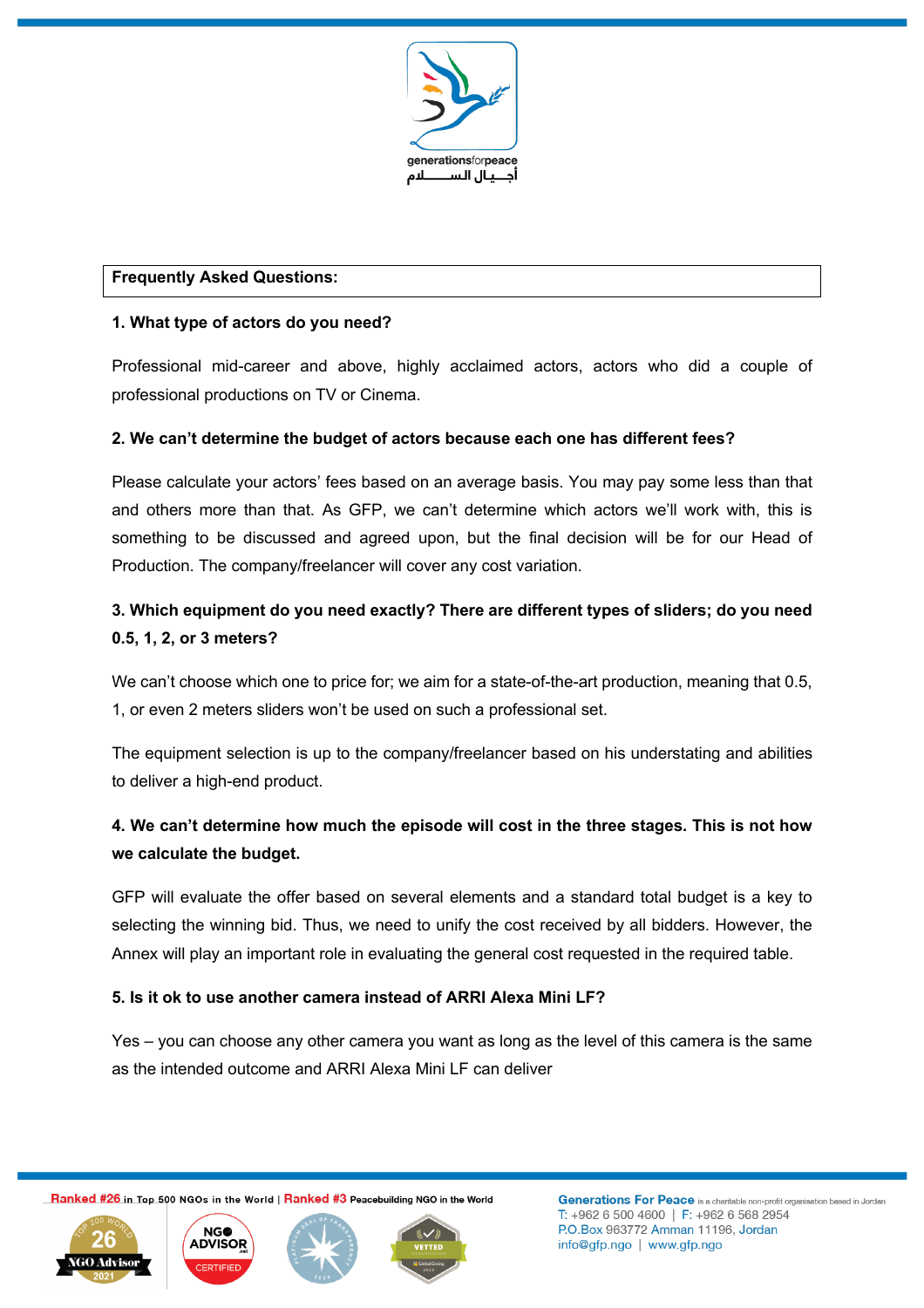

#### **Frequently Asked Questions:**

#### **1. What type of actors do you need?**

Professional mid-career and above, highly acclaimed actors, actors who did a couple of professional productions on TV or Cinema.

#### **2. We can't determine the budget of actors because each one has different fees?**

Please calculate your actors' fees based on an average basis. You may pay some less than that and others more than that. As GFP, we can't determine which actors we'll work with, this is something to be discussed and agreed upon, but the final decision will be for our Head of Production. The company/freelancer will cover any cost variation.

## **3. Which equipment do you need exactly? There are different types of sliders; do you need 0.5, 1, 2, or 3 meters?**

We can't choose which one to price for; we aim for a state-of-the-art production, meaning that 0.5, 1, or even 2 meters sliders won't be used on such a professional set.

The equipment selection is up to the company/freelancer based on his understating and abilities to deliver a high-end product.

## **4. We can't determine how much the episode will cost in the three stages. This is not how we calculate the budget.**

GFP will evaluate the offer based on several elements and a standard total budget is a key to selecting the winning bid. Thus, we need to unify the cost received by all bidders. However, the Annex will play an important role in evaluating the general cost requested in the required table.

#### **5. Is it ok to use another camera instead of ARRI Alexa Mini LF?**

Yes – you can choose any other camera you want as long as the level of this camera is the same as the intended outcome and ARRI Alexa Mini LF can deliver

Ranked #26 in Top 500 NGOs in the World | Ranked #3 Peacebuilding NGO in the World





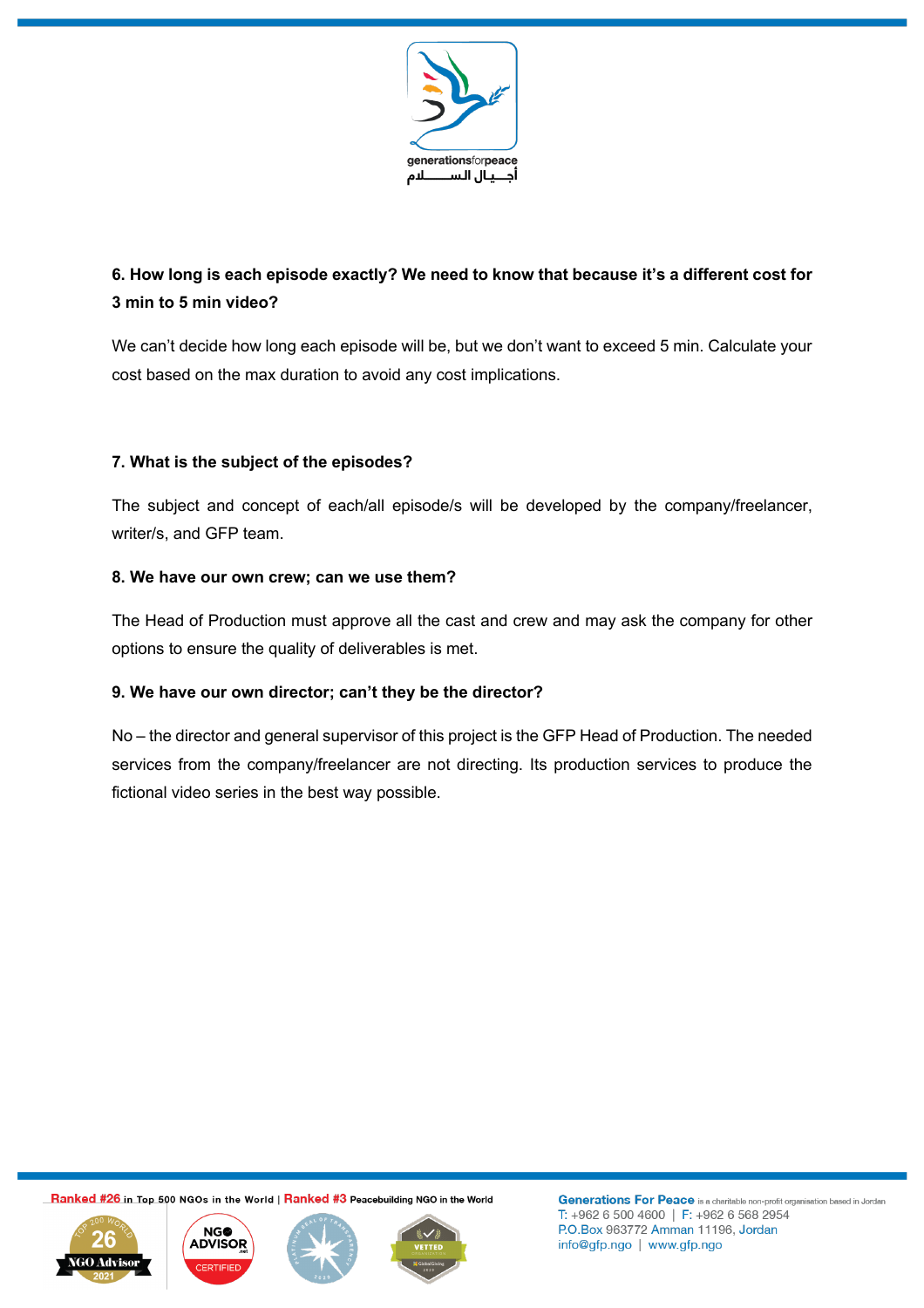

# **6. How long is each episode exactly? We need to know that because it's a different cost for 3 min to 5 min video?**

We can't decide how long each episode will be, but we don't want to exceed 5 min. Calculate your cost based on the max duration to avoid any cost implications.

### **7. What is the subject of the episodes?**

The subject and concept of each/all episode/s will be developed by the company/freelancer, writer/s, and GFP team.

### **8. We have our own crew; can we use them?**

The Head of Production must approve all the cast and crew and may ask the company for other options to ensure the quality of deliverables is met.

### **9. We have our own director; can't they be the director?**

No – the director and general supervisor of this project is the GFP Head of Production. The needed services from the company/freelancer are not directing. Its production services to produce the fictional video series in the best way possible.

Ranked #26 in Top 500 NGOs in the World | Ranked #3 Peacebuilding NGO in the World